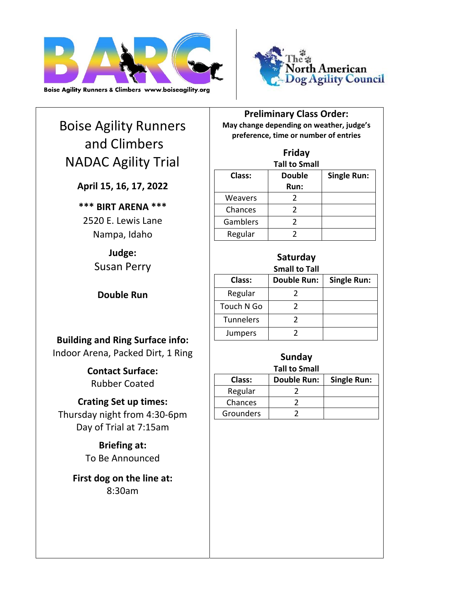



# Boise Agility Runners and Climbers NADAC Agility Trial

**April 15, 16, 17, 2022**

**\*\*\* BIRT ARENA \*\*\*** 2520 E. Lewis Lane Nampa, Idaho

> **Judge:** Susan Perry

**Double Run**

**Building and Ring Surface info:** Indoor Arena, Packed Dirt, 1 Ring

> **Contact Surface:** Rubber Coated

**Crating Set up times:** Thursday night from 4:30‐6pm Day of Trial at 7:15am

> **Briefing at:** To Be Announced

**First dog on the line at:** 8:30am

**Preliminary Class Order: May change depending on weather, judge's preference, time or number of entries**

**Friday Tall to Small Class: Double Run: Single Run:** Weavers 2 Chances 2 Gamblers 2 Regular 2

| Saturday<br><b>Small to Tall</b> |                    |                    |  |  |  |
|----------------------------------|--------------------|--------------------|--|--|--|
| Class:                           | <b>Double Run:</b> | <b>Single Run:</b> |  |  |  |
| Regular                          |                    |                    |  |  |  |
| Touch N Go                       |                    |                    |  |  |  |
| <b>Tunnelers</b>                 |                    |                    |  |  |  |
| Jumpers                          |                    |                    |  |  |  |

| Sunday               |                    |                    |  |  |  |  |
|----------------------|--------------------|--------------------|--|--|--|--|
| <b>Tall to Small</b> |                    |                    |  |  |  |  |
| Class:               | <b>Double Run:</b> | <b>Single Run:</b> |  |  |  |  |
| Regular              |                    |                    |  |  |  |  |
| Chances              |                    |                    |  |  |  |  |
| Grounders            |                    |                    |  |  |  |  |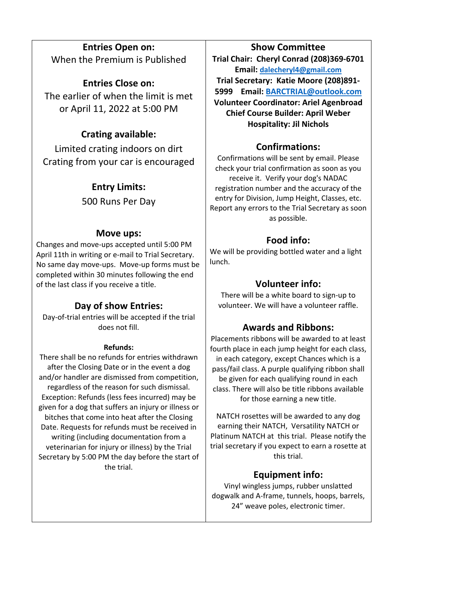### **Entries Open on:** When the Premium is Published

### **Entries Close on:** The earlier of when the limit is met or April 11, 2022 at 5:00 PM

# **Crating available:**

Limited crating indoors on dirt Crating from your car is encouraged

# **Entry Limits:**

500 Runs Per Day

### **Move ups:**

Changes and move‐ups accepted until 5:00 PM April 11th in writing or e‐mail to Trial Secretary. No same day move‐ups. Move‐up forms must be completed within 30 minutes following the end of the last class if you receive a title.

# **Day of show Entries:**

Day‐of‐trial entries will be accepted if the trial does not fill.

### **Refunds:**

There shall be no refunds for entries withdrawn after the Closing Date or in the event a dog and/or handler are dismissed from competition, regardless of the reason for such dismissal. Exception: Refunds (less fees incurred) may be given for a dog that suffers an injury or illness or bitches that come into heat after the Closing Date. Requests for refunds must be received in writing (including documentation from a veterinarian for injury or illness) by the Trial Secretary by 5:00 PM the day before the start of the trial.

# **Show Committee**

**Trial Chair: Cheryl Conrad (208)369‐6701 Email: dalecheryl4@gmail.com Trial Secretary: Katie Moore (208)891‐ 5999 Email: BARCTRIAL@outlook.com Volunteer Coordinator: Ariel Agenbroad Chief Course Builder: April Weber Hospitality: Jil Nichols**

### **Confirmations:**

Confirmations will be sent by email. Please check your trial confirmation as soon as you receive it. Verify your dog's NADAC registration number and the accuracy of the entry for Division, Jump Height, Classes, etc. Report any errors to the Trial Secretary as soon as possible.

### **Food info:**

We will be providing bottled water and a light lunch.

# **Volunteer info:**

There will be a white board to sign‐up to volunteer. We will have a volunteer raffle.

# **Awards and Ribbons:**

Placements ribbons will be awarded to at least fourth place in each jump height for each class, in each category, except Chances which is a pass/fail class. A purple qualifying ribbon shall be given for each qualifying round in each class. There will also be title ribbons available for those earning a new title.

NATCH rosettes will be awarded to any dog earning their NATCH, Versatility NATCH or Platinum NATCH at this trial. Please notify the trial secretary if you expect to earn a rosette at this trial.

# **Equipment info:**

Vinyl wingless jumps, rubber unslatted dogwalk and A‐frame, tunnels, hoops, barrels, 24" weave poles, electronic timer.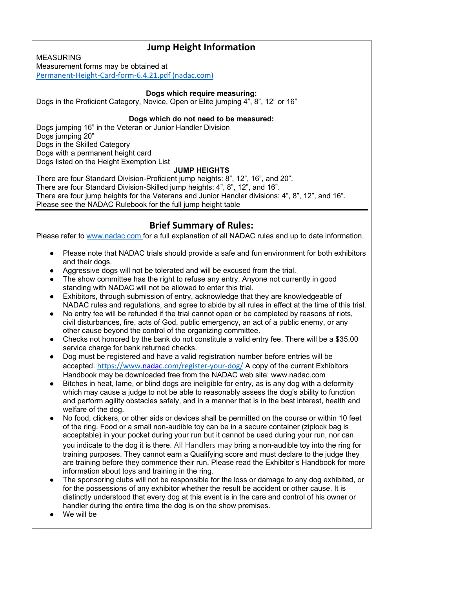### **Jump Height Information**

MEASURING

Measurement forms may be obtained at

Permanent‐Height‐Card‐form‐6.4.21.pdf (nadac.com)

**Dogs which require measuring:** 

Dogs in the Proficient Category, Novice, Open or Elite jumping 4", 8", 12" or 16"

**Dogs which do not need to be measured:** 

Dogs jumping 16" in the Veteran or Junior Handler Division Dogs jumping 20" Dogs in the Skilled Category Dogs with a permanent height card Dogs listed on the Height Exemption List

**JUMP HEIGHTS** 

There are four Standard Division-Proficient jump heights: 8", 12", 16", and 20". There are four Standard Division-Skilled jump heights: 4", 8", 12", and 16". There are four jump heights for the Veterans and Junior Handler divisions: 4", 8", 12", and 16". Please see the NADAC Rulebook for the full jump height table

### **Brief Summary of Rules:**

Please refer to www.nadac.com for a full explanation of all NADAC rules and up to date information.

- Please note that NADAC trials should provide a safe and fun environment for both exhibitors and their dogs.
- Aggressive dogs will not be tolerated and will be excused from the trial.
- The show committee has the right to refuse any entry. Anyone not currently in good standing with NADAC will not be allowed to enter this trial.
- Exhibitors, through submission of entry, acknowledge that they are knowledgeable of NADAC rules and regulations, and agree to abide by all rules in effect at the time of this trial.
- No entry fee will be refunded if the trial cannot open or be completed by reasons of riots, civil disturbances, fire, acts of God, public emergency, an act of a public enemy, or any other cause beyond the control of the organizing committee.
- Checks not honored by the bank do not constitute a valid entry fee. There will be a \$35.00 service charge for bank returned checks.
- Dog must be registered and have a valid registration number before entries will be accepted. https://www.nadac.com/register‐your‐dog/ A copy of the current Exhibitors Handbook may be downloaded free from the NADAC web site: www.nadac.com
- Bitches in heat, lame, or blind dogs are ineligible for entry, as is any dog with a deformity which may cause a judge to not be able to reasonably assess the dog's ability to function and perform agility obstacles safely, and in a manner that is in the best interest, health and welfare of the dog.
- No food, clickers, or other aids or devices shall be permitted on the course or within 10 feet of the ring. Food or a small non-audible toy can be in a secure container (ziplock bag is acceptable) in your pocket during your run but it cannot be used during your run, nor can you indicate to the dog it is there. All Handlers may bring a non-audible toy into the ring for training purposes. They cannot earn a Qualifying score and must declare to the judge they are training before they commence their run. Please read the Exhibitor's Handbook for more information about toys and training in the ring.
- The sponsoring clubs will not be responsible for the loss or damage to any dog exhibited, or for the possessions of any exhibitor whether the result be accident or other cause. It is distinctly understood that every dog at this event is in the care and control of his owner or handler during the entire time the dog is on the show premises.
- We will be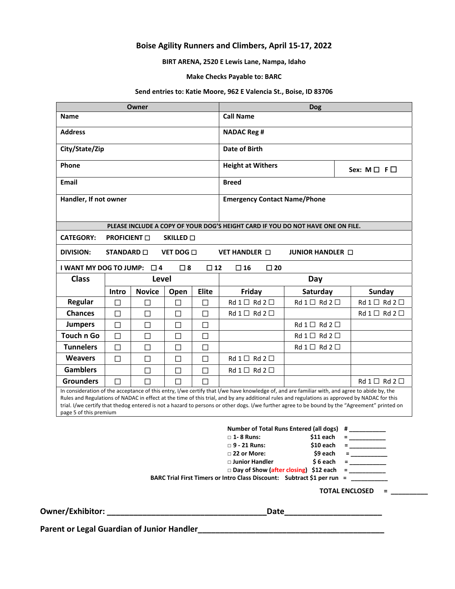### **Boise Agility Runners and Climbers, April 15‐17, 2022**

**BIRT ARENA, 2520 E Lewis Lane, Nampa, Idaho**

#### **Make Checks Payable to: BARC**

#### **Send entries to: Katie Moore, 962 E Valencia St., Boise, ID 83706**

|                           |                   | Owner         |                                                        |                  | <b>Dog</b>                                                                                                                                                                                                                                                                                     |                                                 |                                                                                                                                                |
|---------------------------|-------------------|---------------|--------------------------------------------------------|------------------|------------------------------------------------------------------------------------------------------------------------------------------------------------------------------------------------------------------------------------------------------------------------------------------------|-------------------------------------------------|------------------------------------------------------------------------------------------------------------------------------------------------|
| <b>Name</b>               |                   |               |                                                        | <b>Call Name</b> |                                                                                                                                                                                                                                                                                                |                                                 |                                                                                                                                                |
| <b>Address</b>            |                   |               | <b>NADAC Reg #</b>                                     |                  |                                                                                                                                                                                                                                                                                                |                                                 |                                                                                                                                                |
| City/State/Zip            |                   |               | <b>Date of Birth</b>                                   |                  |                                                                                                                                                                                                                                                                                                |                                                 |                                                                                                                                                |
| Phone                     |                   |               | <b>Height at Withers</b><br>Sex: $M \square F \square$ |                  |                                                                                                                                                                                                                                                                                                |                                                 |                                                                                                                                                |
| Email                     |                   |               | <b>Breed</b>                                           |                  |                                                                                                                                                                                                                                                                                                |                                                 |                                                                                                                                                |
| Handler, If not owner     |                   |               | <b>Emergency Contact Name/Phone</b>                    |                  |                                                                                                                                                                                                                                                                                                |                                                 |                                                                                                                                                |
|                           |                   |               |                                                        |                  |                                                                                                                                                                                                                                                                                                |                                                 |                                                                                                                                                |
|                           |                   |               |                                                        |                  | PLEASE INCLUDE A COPY OF YOUR DOG'S HEIGHT CARD IF YOU DO NOT HAVE ONE ON FILE.                                                                                                                                                                                                                |                                                 |                                                                                                                                                |
| <b>CATEGORY:</b>          | PROFICIENT O      |               | SKILLED $\square$                                      |                  |                                                                                                                                                                                                                                                                                                |                                                 |                                                                                                                                                |
| <b>DIVISION:</b>          | STANDARD <b>O</b> |               | VET DOG O                                              |                  | <b>VET HANDLER O</b>                                                                                                                                                                                                                                                                           | <b>JUNIOR HANDLER O</b>                         |                                                                                                                                                |
| I WANT MY DOG TO JUMP: 04 |                   |               | $\square$ 8                                            | $\square$ 12     | $\square$ 20<br>$\square$ 16                                                                                                                                                                                                                                                                   |                                                 |                                                                                                                                                |
| <b>Class</b>              |                   | Level         |                                                        |                  |                                                                                                                                                                                                                                                                                                | Day                                             |                                                                                                                                                |
|                           | Intro             | <b>Novice</b> | Open                                                   | Elite            | Friday                                                                                                                                                                                                                                                                                         | Saturday                                        | <b>Sunday</b>                                                                                                                                  |
| Regular                   | П                 | П             | П                                                      | П                | $Rd1 \Box Rd2 \Box$                                                                                                                                                                                                                                                                            | $Rd1 \Box Rd2 \Box$                             | $Rd1 \Box Rd2 \Box$                                                                                                                            |
| <b>Chances</b>            | $\Box$            | $\Box$        | П                                                      | $\Box$           | $Rd1 \Box Rd2 \Box$                                                                                                                                                                                                                                                                            |                                                 | $Rd1 \Box Rd2 \Box$                                                                                                                            |
| <b>Jumpers</b>            | $\Box$            | $\Box$        | $\Box$                                                 | $\Box$           |                                                                                                                                                                                                                                                                                                | $Rd1 \Box Rd2 \Box$                             |                                                                                                                                                |
| Touch n Go                | $\Box$            | $\Box$        | П                                                      | $\Box$           |                                                                                                                                                                                                                                                                                                | $Rd1 \Box Rd2 \Box$                             |                                                                                                                                                |
| <b>Tunnelers</b>          | $\Box$            | П             | П                                                      | $\Box$           |                                                                                                                                                                                                                                                                                                | $Rd1 \Box Rd2 \Box$                             |                                                                                                                                                |
| <b>Weavers</b>            | $\Box$            | $\Box$        | $\Box$                                                 | $\Box$           | $Rd1 \Box Rd2 \Box$                                                                                                                                                                                                                                                                            |                                                 |                                                                                                                                                |
| <b>Gamblers</b>           |                   | $\Box$        | $\Box$                                                 | $\Box$           | $Rd1 \Box Rd2 \Box$                                                                                                                                                                                                                                                                            |                                                 |                                                                                                                                                |
| <b>Grounders</b>          | $\Box$            | П             | П                                                      | П                |                                                                                                                                                                                                                                                                                                |                                                 | $Rd1 \Box Rd2 \Box$                                                                                                                            |
| page 5 of this premium    |                   |               |                                                        |                  | In consideration of the acceptance of this entry, I/we certify that I/we have knowledge of, and are familiar with, and agree to abide by, the<br>Rules and Regulations of NADAC in effect at the time of this trial, and by any additional rules and regulations as approved by NADAC for this |                                                 | trial. I/we certify that thedog entered is not a hazard to persons or other dogs. I/we further agree to be bound by the "Agreement" printed on |
|                           |                   |               |                                                        |                  | Number of Total Runs Entered (all dogs) #<br>$\square$ 1- 8 Runs:<br>□ 9 - 21 Runs:<br>$\square$ 22 or More:<br>□ Junior Handler<br>□ Day of Show (after closing) \$12 each = __________<br>BARC Trial First Timers or Intro Class Discount: Subtract \$1 per run = ________                   | \$11 each<br>\$10 each<br>\$9 each<br>$$6$ each | = ____________                                                                                                                                 |
|                           |                   |               |                                                        |                  |                                                                                                                                                                                                                                                                                                |                                                 | <b>TOTAL ENCLOSED</b><br>Ξ                                                                                                                     |
| <b>Owner/Exhibitor:</b>   |                   |               |                                                        |                  | <b>Date</b>                                                                                                                                                                                                                                                                                    |                                                 |                                                                                                                                                |

**Parent or Legal Guardian of Junior Handler\_\_\_\_\_\_\_\_\_\_\_\_\_\_\_\_\_\_\_\_\_\_\_\_\_\_\_\_\_\_\_\_\_\_\_\_\_\_\_\_\_\_**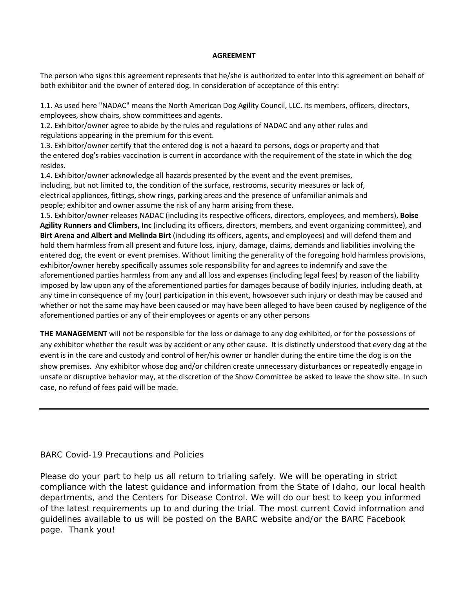#### **AGREEMENT**

The person who signs this agreement represents that he/she is authorized to enter into this agreement on behalf of both exhibitor and the owner of entered dog. In consideration of acceptance of this entry:

1.1. As used here "NADAC" means the North American Dog Agility Council, LLC. Its members, officers, directors, employees, show chairs, show committees and agents.

1.2. Exhibitor/owner agree to abide by the rules and regulations of NADAC and any other rules and regulations appearing in the premium for this event.

1.3. Exhibitor/owner certify that the entered dog is not a hazard to persons, dogs or property and that the entered dog's rabies vaccination is current in accordance with the requirement of the state in which the dog resides.

1.4. Exhibitor/owner acknowledge all hazards presented by the event and the event premises, including, but not limited to, the condition of the surface, restrooms, security measures or lack of, electrical appliances, fittings, show rings, parking areas and the presence of unfamiliar animals and people; exhibitor and owner assume the risk of any harm arising from these.

1.5. Exhibitor/owner releases NADAC (including its respective officers, directors, employees, and members), **Boise Agility Runners and Climbers, Inc** (including its officers, directors, members, and event organizing committee), and **Birt Arena and Albert and Melinda Birt** (including its officers, agents, and employees) and will defend them and hold them harmless from all present and future loss, injury, damage, claims, demands and liabilities involving the entered dog, the event or event premises. Without limiting the generality of the foregoing hold harmless provisions, exhibitor/owner hereby specifically assumes sole responsibility for and agrees to indemnify and save the aforementioned parties harmless from any and all loss and expenses (including legal fees) by reason of the liability imposed by law upon any of the aforementioned parties for damages because of bodily injuries, including death, at any time in consequence of my (our) participation in this event, howsoever such injury or death may be caused and whether or not the same may have been caused or may have been alleged to have been caused by negligence of the aforementioned parties or any of their employees or agents or any other persons

**THE MANAGEMENT** will not be responsible for the loss or damage to any dog exhibited, or for the possessions of any exhibitor whether the result was by accident or any other cause. It is distinctly understood that every dog at the event is in the care and custody and control of her/his owner or handler during the entire time the dog is on the show premises. Any exhibitor whose dog and/or children create unnecessary disturbances or repeatedly engage in unsafe or disruptive behavior may, at the discretion of the Show Committee be asked to leave the show site. In such case, no refund of fees paid will be made.

BARC Covid-19 Precautions and Policies

Please do your part to help us all return to trialing safely. We will be operating in strict compliance with the latest guidance and information from the State of Idaho, our local health departments, and the Centers for Disease Control. We will do our best to keep you informed of the latest requirements up to and during the trial. The most current Covid information and guidelines available to us will be posted on the BARC website and/or the BARC Facebook page. Thank you!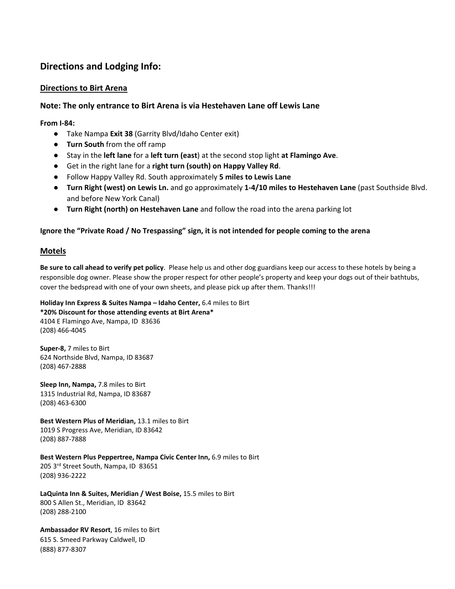### **Directions and Lodging Info:**

#### **Directions to Birt Arena**

### **Note: The only entrance to Birt Arena is via Hestehaven Lane off Lewis Lane**

#### **From I‐84:**

- Take Nampa **Exit 38** (Garrity Blvd/Idaho Center exit)
- **Turn South** from the off ramp
- Stay in the **left lane** for a **left turn (east**) at the second stop light **at Flamingo Ave**.
- Get in the right lane for a **right turn (south) on Happy Valley Rd**.
- Follow Happy Valley Rd. South approximately **5 miles to Lewis Lane**
- **Turn Right (west) on Lewis Ln.** and go approximately **1‐4/10 miles to Hestehaven Lane** (past Southside Blvd. and before New York Canal)
- **Turn Right (north) on Hestehaven Lane** and follow the road into the arena parking lot

#### **Ignore the "Private Road / No Trespassing" sign, it is not intended for people coming to the arena**

#### **Motels**

**Be sure to call ahead to verify pet policy**. Please help us and other dog guardians keep our access to these hotels by being a responsible dog owner. Please show the proper respect for other people's property and keep your dogs out of their bathtubs, cover the bedspread with one of your own sheets, and please pick up after them. Thanks!!!

**Holiday Inn Express & Suites Nampa – Idaho Center,** 6.4 miles to Birt **\*20% Discount for those attending events at Birt Arena\*** 4104 E Flamingo Ave, Nampa, ID 83636 (208) 466‐4045

**Super‐8,** 7 miles to Birt 624 Northside Blvd, Nampa, ID 83687 (208) 467‐2888

**Sleep Inn, Nampa,** 7.8 miles to Birt 1315 Industrial Rd, Nampa, ID 83687 (208) 463‐6300

**Best Western Plus of Meridian,** 13.1 miles to Birt 1019 S Progress Ave, Meridian, ID 83642 (208) 887‐7888

**Best Western Plus Peppertree, Nampa Civic Center Inn,** 6.9 miles to Birt 205 3rd Street South, Nampa, ID 83651 (208) 936‐2222

**LaQuinta Inn & Suites, Meridian / West Boise,** 15.5 miles to Birt 800 S Allen St., Meridian, ID 83642 (208) 288‐2100

**Ambassador RV Resort**, 16 miles to Birt 615 S. Smeed Parkway Caldwell, ID (888) 877‐8307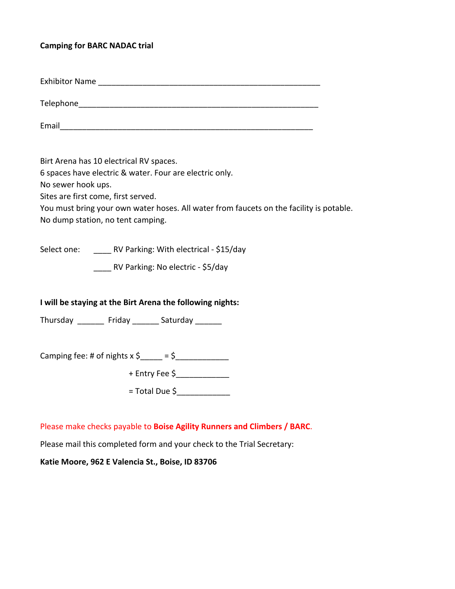### **Camping for BARC NADAC trial**

Exhibitor Name **Exhibitor** Name

Telephone\_\_\_\_\_\_\_\_\_\_\_\_\_\_\_\_\_\_\_\_\_\_\_\_\_\_\_\_\_\_\_\_\_\_\_\_\_\_\_\_\_\_\_\_\_\_\_\_\_\_\_\_\_\_

Email\_\_\_\_\_\_\_\_\_\_\_\_\_\_\_\_\_\_\_\_\_\_\_\_\_\_\_\_\_\_\_\_\_\_\_\_\_\_\_\_\_\_\_\_\_\_\_\_\_\_\_\_\_\_\_\_\_

Birt Arena has 10 electrical RV spaces.

6 spaces have electric & water. Four are electric only.

No sewer hook ups.

Sites are first come, first served.

You must bring your own water hoses. All water from faucets on the facility is potable.

No dump station, no tent camping.

Select one: \_\_\_\_ RV Parking: With electrical ‐ \$15/day

\_\_\_\_ RV Parking: No electric - \$5/day

### **I will be staying at the Birt Arena the following nights:**

Thursday \_\_\_\_\_\_\_ Friday \_\_\_\_\_\_ Saturday \_\_\_\_\_\_

Camping fee: # of nights  $x \xi = \xi$ 

+ Entry Fee \$\_\_\_\_\_\_\_\_\_\_\_\_

 $=$  Total Due  $\zeta$ 

### Please make checks payable to **Boise Agility Runners and Climbers / BARC**.

Please mail this completed form and your check to the Trial Secretary:

**Katie Moore, 962 E Valencia St., Boise, ID 83706**